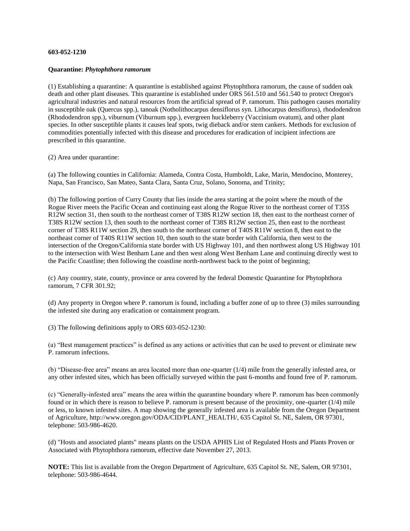## **603-052-1230**

## **Quarantine:** *Phytophthora ramorum*

(1) Establishing a quarantine: A quarantine is established against Phytophthora ramorum, the cause of sudden oak death and other plant diseases. This quarantine is established under ORS 561.510 and 561.540 to protect Oregon's agricultural industries and natural resources from the artificial spread of P. ramorum. This pathogen causes mortality in susceptible oak (Quercus spp.), tanoak (Notholithocarpus densiflorus syn. Lithocarpus densiflorus), rhododendron (Rhododendron spp.), viburnum (Viburnum spp.), evergreen huckleberry (Vaccinium ovatum), and other plant species. In other susceptible plants it causes leaf spots, twig dieback and/or stem cankers. Methods for exclusion of commodities potentially infected with this disease and procedures for eradication of incipient infections are prescribed in this quarantine.

(2) Area under quarantine:

(a) The following counties in California: Alameda, Contra Costa, Humboldt, Lake, Marin, Mendocino, Monterey, Napa, San Francisco, San Mateo, Santa Clara, Santa Cruz, Solano, Sonoma, and Trinity;

(b) The following portion of Curry County that lies inside the area starting at the point where the mouth of the Rogue River meets the Pacific Ocean and continuing east along the Rogue River to the northeast corner of T35S R12W section 31, then south to the northeast corner of T38S R12W section 18, then east to the northeast corner of T38S R12W section 13, then south to the northeast corner of T38S R12W section 25, then east to the northeast corner of T38S R11W section 29, then south to the northeast corner of T40S R11W section 8, then east to the northeast corner of T40S R11W section 10, then south to the state border with California, then west to the intersection of the Oregon/California state border with US Highway 101, and then northwest along US Highway 101 to the intersection with West Benham Lane and then west along West Benham Lane and continuing directly west to the Pacific Coastline; then following the coastline north-northwest back to the point of beginning;

(c) Any country, state, county, province or area covered by the federal Domestic Quarantine for Phytophthora ramorum, 7 CFR 301.92;

(d) Any property in Oregon where P. ramorum is found, including a buffer zone of up to three (3) miles surrounding the infested site during any eradication or containment program.

(3) The following definitions apply to ORS 603-052-1230:

(a) "Best management practices" is defined as any actions or activities that can be used to prevent or eliminate new P. ramorum infections.

(b) "Disease-free area" means an area located more than one-quarter (1/4) mile from the generally infested area, or any other infested sites, which has been officially surveyed within the past 6-months and found free of P. ramorum.

(c) "Generally-infested area" means the area within the quarantine boundary where P. ramorum has been commonly found or in which there is reason to believe P. ramorum is present because of the proximity, one-quarter (1/4) mile or less, to known infested sites. A map showing the generally infested area is available from the Oregon Department of Agriculture, http://www.oregon.gov/ODA/CID/PLANT\_HEALTH/, 635 Capitol St. NE, Salem, OR 97301, telephone: 503-986-4620.

(d) "Hosts and associated plants" means plants on the USDA APHIS List of Regulated Hosts and Plants Proven or Associated with Phytophthora ramorum, effective date November 27, 2013.

**NOTE:** This list is available from the Oregon Department of Agriculture, 635 Capitol St. NE, Salem, OR 97301, telephone: 503-986-4644.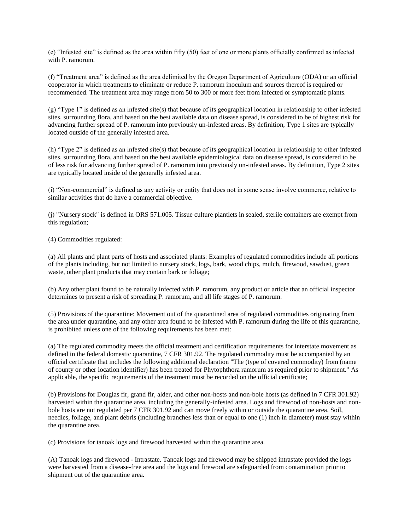(e) "Infested site" is defined as the area within fifty (50) feet of one or more plants officially confirmed as infected with P. ramorum.

(f) "Treatment area" is defined as the area delimited by the Oregon Department of Agriculture (ODA) or an official cooperator in which treatments to eliminate or reduce P. ramorum inoculum and sources thereof is required or recommended. The treatment area may range from 50 to 300 or more feet from infected or symptomatic plants.

(g) "Type 1" is defined as an infested site(s) that because of its geographical location in relationship to other infested sites, surrounding flora, and based on the best available data on disease spread, is considered to be of highest risk for advancing further spread of P. ramorum into previously un-infested areas. By definition, Type 1 sites are typically located outside of the generally infested area.

(h) "Type 2" is defined as an infested site(s) that because of its geographical location in relationship to other infested sites, surrounding flora, and based on the best available epidemiological data on disease spread, is considered to be of less risk for advancing further spread of P. ramorum into previously un-infested areas. By definition, Type 2 sites are typically located inside of the generally infested area.

(i) "Non-commercial" is defined as any activity or entity that does not in some sense involve commerce, relative to similar activities that do have a commercial objective.

(j) "Nursery stock" is defined in ORS 571.005. Tissue culture plantlets in sealed, sterile containers are exempt from this regulation;

(4) Commodities regulated:

(a) All plants and plant parts of hosts and associated plants: Examples of regulated commodities include all portions of the plants including, but not limited to nursery stock, logs, bark, wood chips, mulch, firewood, sawdust, green waste, other plant products that may contain bark or foliage;

(b) Any other plant found to be naturally infected with P. ramorum, any product or article that an official inspector determines to present a risk of spreading P. ramorum, and all life stages of P. ramorum.

(5) Provisions of the quarantine: Movement out of the quarantined area of regulated commodities originating from the area under quarantine, and any other area found to be infested with P. ramorum during the life of this quarantine, is prohibited unless one of the following requirements has been met:

(a) The regulated commodity meets the official treatment and certification requirements for interstate movement as defined in the federal domestic quarantine, 7 CFR 301.92. The regulated commodity must be accompanied by an official certificate that includes the following additional declaration "The (type of covered commodity) from (name of county or other location identifier) has been treated for Phytophthora ramorum as required prior to shipment." As applicable, the specific requirements of the treatment must be recorded on the official certificate;

(b) Provisions for Douglas fir, grand fir, alder, and other non-hosts and non-bole hosts (as defined in 7 CFR 301.92) harvested within the quarantine area, including the generally-infested area. Logs and firewood of non-hosts and nonbole hosts are not regulated per 7 CFR 301.92 and can move freely within or outside the quarantine area. Soil, needles, foliage, and plant debris (including branches less than or equal to one (1) inch in diameter) must stay within the quarantine area.

(c) Provisions for tanoak logs and firewood harvested within the quarantine area.

(A) Tanoak logs and firewood - Intrastate. Tanoak logs and firewood may be shipped intrastate provided the logs were harvested from a disease-free area and the logs and firewood are safeguarded from contamination prior to shipment out of the quarantine area.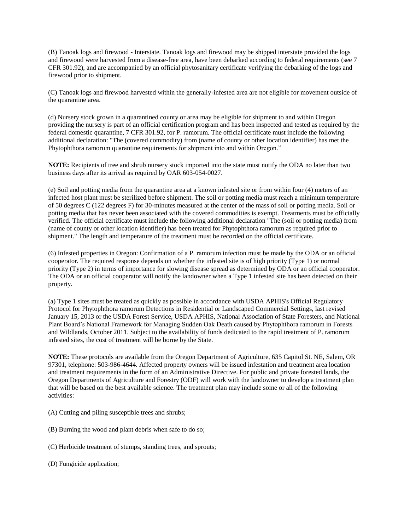(B) Tanoak logs and firewood - Interstate. Tanoak logs and firewood may be shipped interstate provided the logs and firewood were harvested from a disease-free area, have been debarked according to federal requirements (see 7 CFR 301.92), and are accompanied by an official phytosanitary certificate verifying the debarking of the logs and firewood prior to shipment.

(C) Tanoak logs and firewood harvested within the generally-infested area are not eligible for movement outside of the quarantine area.

(d) Nursery stock grown in a quarantined county or area may be eligible for shipment to and within Oregon providing the nursery is part of an official certification program and has been inspected and tested as required by the federal domestic quarantine, 7 CFR 301.92, for P. ramorum. The official certificate must include the following additional declaration: "The (covered commodity) from (name of county or other location identifier) has met the Phytophthora ramorum quarantine requirements for shipment into and within Oregon."

**NOTE:** Recipients of tree and shrub nursery stock imported into the state must notify the ODA no later than two business days after its arrival as required by OAR 603-054-0027.

(e) Soil and potting media from the quarantine area at a known infested site or from within four (4) meters of an infected host plant must be sterilized before shipment. The soil or potting media must reach a minimum temperature of 50 degrees C (122 degrees F) for 30-minutes measured at the center of the mass of soil or potting media. Soil or potting media that has never been associated with the covered commodities is exempt. Treatments must be officially verified. The official certificate must include the following additional declaration "The (soil or potting media) from (name of county or other location identifier) has been treated for Phytophthora ramorum as required prior to shipment." The length and temperature of the treatment must be recorded on the official certificate.

(6) Infested properties in Oregon: Confirmation of a P. ramorum infection must be made by the ODA or an official cooperator. The required response depends on whether the infested site is of high priority (Type 1) or normal priority (Type 2) in terms of importance for slowing disease spread as determined by ODA or an official cooperator. The ODA or an official cooperator will notify the landowner when a Type 1 infested site has been detected on their property.

(a) Type 1 sites must be treated as quickly as possible in accordance with USDA APHIS's Official Regulatory Protocol for Phytophthora ramorum Detections in Residential or Landscaped Commercial Settings, last revised January 15, 2013 or the USDA Forest Service, USDA APHIS, National Association of State Foresters, and National Plant Board's National Framework for Managing Sudden Oak Death caused by Phytophthora ramorum in Forests and Wildlands, October 2011. Subject to the availability of funds dedicated to the rapid treatment of P. ramorum infested sites, the cost of treatment will be borne by the State.

**NOTE:** These protocols are available from the Oregon Department of Agriculture, 635 Capitol St. NE, Salem, OR 97301, telephone: 503-986-4644. Affected property owners will be issued infestation and treatment area location and treatment requirements in the form of an Administrative Directive. For public and private forested lands, the Oregon Departments of Agriculture and Forestry (ODF) will work with the landowner to develop a treatment plan that will be based on the best available science. The treatment plan may include some or all of the following activities:

- (A) Cutting and piling susceptible trees and shrubs;
- (B) Burning the wood and plant debris when safe to do so;
- (C) Herbicide treatment of stumps, standing trees, and sprouts;
- (D) Fungicide application;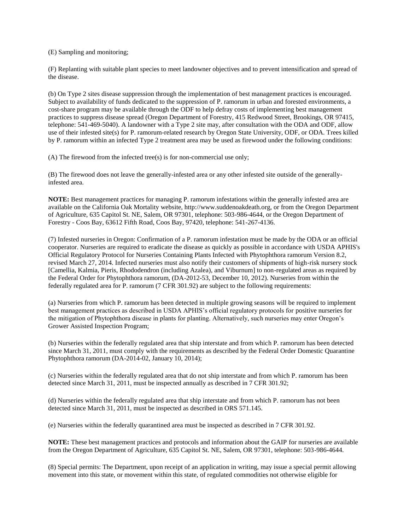(E) Sampling and monitoring;

(F) Replanting with suitable plant species to meet landowner objectives and to prevent intensification and spread of the disease.

(b) On Type 2 sites disease suppression through the implementation of best management practices is encouraged. Subject to availability of funds dedicated to the suppression of P. ramorum in urban and forested environments, a cost-share program may be available through the ODF to help defray costs of implementing best management practices to suppress disease spread (Oregon Department of Forestry, 415 Redwood Street, Brookings, OR 97415, telephone: 541-469-5040). A landowner with a Type 2 site may, after consultation with the ODA and ODF, allow use of their infested site(s) for P. ramorum-related research by Oregon State University, ODF, or ODA. Trees killed by P. ramorum within an infected Type 2 treatment area may be used as firewood under the following conditions:

(A) The firewood from the infected tree(s) is for non-commercial use only;

(B) The firewood does not leave the generally-infested area or any other infested site outside of the generallyinfested area.

**NOTE:** Best management practices for managing P. ramorum infestations within the generally infested area are available on the California Oak Mortality website, http://www.suddenoakdeath.org, or from the Oregon Department of Agriculture, 635 Capitol St. NE, Salem, OR 97301, telephone: 503-986-4644, or the Oregon Department of Forestry - Coos Bay, 63612 Fifth Road, Coos Bay, 97420, telephone: 541-267-4136.

(7) Infested nurseries in Oregon: Confirmation of a P. ramorum infestation must be made by the ODA or an official cooperator. Nurseries are required to eradicate the disease as quickly as possible in accordance with USDA APHIS's Official Regulatory Protocol for Nurseries Containing Plants Infected with Phytophthora ramorum Version 8.2, revised March 27, 2014. Infected nurseries must also notify their customers of shipments of high-risk nursery stock [Camellia, Kalmia, Pieris, Rhododendron (including Azalea), and Viburnum] to non-regulated areas as required by the Federal Order for Phytophthora ramorum, (DA-2012-53, December 10, 2012). Nurseries from within the federally regulated area for P. ramorum (7 CFR 301.92) are subject to the following requirements:

(a) Nurseries from which P. ramorum has been detected in multiple growing seasons will be required to implement best management practices as described in USDA APHIS's official regulatory protocols for positive nurseries for the mitigation of Phytophthora disease in plants for planting. Alternatively, such nurseries may enter Oregon's Grower Assisted Inspection Program;

(b) Nurseries within the federally regulated area that ship interstate and from which P. ramorum has been detected since March 31, 2011, must comply with the requirements as described by the Federal Order Domestic Quarantine Phytophthora ramorum (DA-2014-02, January 10, 2014);

(c) Nurseries within the federally regulated area that do not ship interstate and from which P. ramorum has been detected since March 31, 2011, must be inspected annually as described in 7 CFR 301.92;

(d) Nurseries within the federally regulated area that ship interstate and from which P. ramorum has not been detected since March 31, 2011, must be inspected as described in ORS 571.145.

(e) Nurseries within the federally quarantined area must be inspected as described in 7 CFR 301.92.

**NOTE:** These best management practices and protocols and information about the GAIP for nurseries are available from the Oregon Department of Agriculture, 635 Capitol St. NE, Salem, OR 97301, telephone: 503-986-4644.

(8) Special permits: The Department, upon receipt of an application in writing, may issue a special permit allowing movement into this state, or movement within this state, of regulated commodities not otherwise eligible for